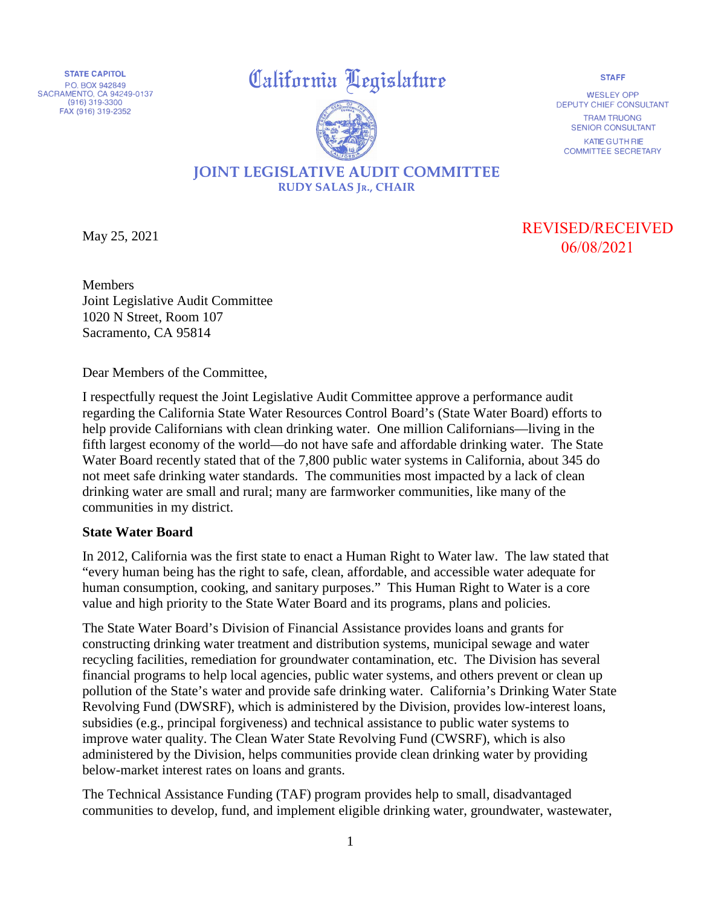**STATE CAPITOL**  PO. BOX 942849 SACRAMENTO, CA 94249-0137 (916) 319-3300 FAX (916) 319-2352

## **California Legislature California**



WESLEY OPP DEPUTY CHIEF CONSULTANT TRAM TRUONG SENIOR CONSULTANT

KATIE GUTHRIE COMMITTEE SECRETARY

## **JOINT LEGISLATIVE AUDIT COMMITTEE RUDY SALAS JR., CHAIR**

May 25, 2021

REVISED/RECEIVED 06/08/2021

Members Joint Legislative Audit Committee 1020 N Street, Room 107 Sacramento, CA 95814

Dear Members of the Committee,

I respectfully request the Joint Legislative Audit Committee approve a performance audit regarding the California State Water Resources Control Board's (State Water Board) efforts to help provide Californians with clean drinking water. One million Californians—living in the fifth largest economy of the world—do not have safe and affordable drinking water. The State Water Board recently stated that of the 7,800 public water systems in California, about 345 do not meet safe drinking water standards. The communities most impacted by a lack of clean drinking water are small and rural; many are farmworker communities, like many of the communities in my district.

## **State Water Board**

In 2012, California was the first state to enact a Human Right to Water law. The law stated that "every human being has the right to safe, clean, affordable, and accessible water adequate for human consumption, cooking, and sanitary purposes." This Human Right to Water is a core value and high priority to the State Water Board and its programs, plans and policies.

The State Water Board's Division of Financial Assistance provides loans and grants for constructing drinking water treatment and distribution systems, municipal sewage and water recycling facilities, remediation for groundwater contamination, etc. The Division has several financial programs to help local agencies, public water systems, and others prevent or clean up pollution of the State's water and provide safe drinking water. California's Drinking Water State Revolving Fund (DWSRF), which is administered by the Division, provides low-interest loans, subsidies (e.g., principal forgiveness) and technical assistance to public water systems to improve water quality. The Clean Water State Revolving Fund (CWSRF), which is also administered by the Division, helps communities provide clean drinking water by providing below-market interest rates on loans and grants.

The Technical Assistance Funding (TAF) program provides help to small, disadvantaged communities to develop, fund, and implement eligible drinking water, groundwater, wastewater,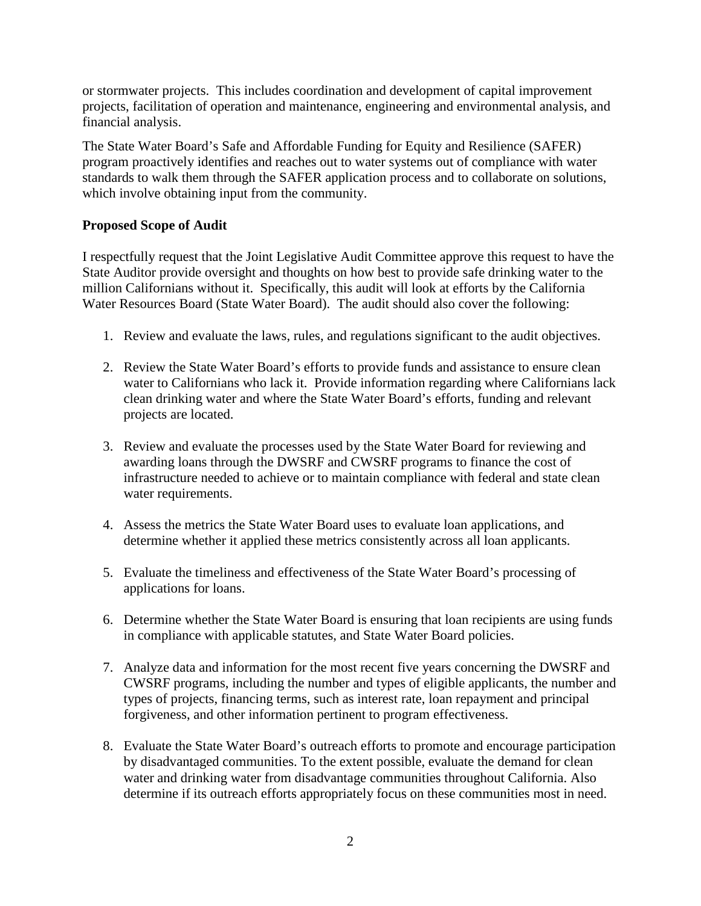or stormwater projects. This includes coordination and development of capital improvement projects, facilitation of operation and maintenance, engineering and environmental analysis, and financial analysis.

The State Water Board's Safe and Affordable Funding for Equity and Resilience (SAFER) program proactively identifies and reaches out to water systems out of compliance with water standards to walk them through the SAFER application process and to collaborate on solutions, which involve obtaining input from the community.

## **Proposed Scope of Audit**

I respectfully request that the Joint Legislative Audit Committee approve this request to have the State Auditor provide oversight and thoughts on how best to provide safe drinking water to the million Californians without it. Specifically, this audit will look at efforts by the California Water Resources Board (State Water Board). The audit should also cover the following:

- 1. Review and evaluate the laws, rules, and regulations significant to the audit objectives.
- 2. Review the State Water Board's efforts to provide funds and assistance to ensure clean water to Californians who lack it. Provide information regarding where Californians lack clean drinking water and where the State Water Board's efforts, funding and relevant projects are located.
- 3. Review and evaluate the processes used by the State Water Board for reviewing and awarding loans through the DWSRF and CWSRF programs to finance the cost of infrastructure needed to achieve or to maintain compliance with federal and state clean water requirements.
- 4. Assess the metrics the State Water Board uses to evaluate loan applications, and determine whether it applied these metrics consistently across all loan applicants.
- 5. Evaluate the timeliness and effectiveness of the State Water Board's processing of applications for loans.
- 6. Determine whether the State Water Board is ensuring that loan recipients are using funds in compliance with applicable statutes, and State Water Board policies.
- 7. Analyze data and information for the most recent five years concerning the DWSRF and CWSRF programs, including the number and types of eligible applicants, the number and types of projects, financing terms, such as interest rate, loan repayment and principal forgiveness, and other information pertinent to program effectiveness.
- 8. Evaluate the State Water Board's outreach efforts to promote and encourage participation by disadvantaged communities. To the extent possible, evaluate the demand for clean water and drinking water from disadvantage communities throughout California. Also determine if its outreach efforts appropriately focus on these communities most in need.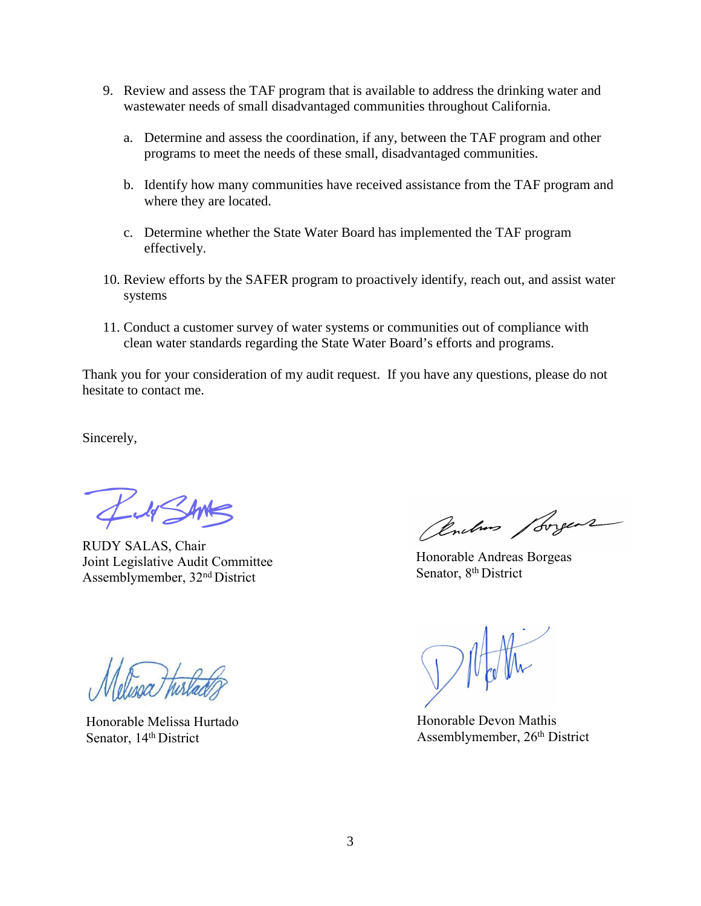- 9. Review and assess the TAF program that is available to address the drinking water and wastewater needs of small disadvantaged communities throughout California.
	- a. Determine and assess the coordination, if any, between the TAF program and other programs to meet the needs of these small, disadvantaged communities.
	- b. Identify how many communities have received assistance from the TAF program and where they are located.
	- c. Determine whether the State Water Board has implemented the TAF program effectively.
- 10. Review efforts by the SAFER program to proactively identify, reach out, and assist water systems
- 11. Conduct a customer survey of water systems or communities out of compliance with clean water standards regarding the State Water Board's efforts and programs.

Thank you for your consideration of my audit request. If you have any questions, please do not hesitate to contact me.

Sincerely,

*--;;:J�* 

RUDY SALAS, Chair Joint Legislative Audit Committee Assemblymember, 32nd District

Honorable Melissa Hurtado Senator, 14<sup>th</sup> District

Cembres / Lorgens

Honorable Andreas Borgeas Senator, 8<sup>th</sup> District

Honorable Devon Mathis Assemblymember, 26th District